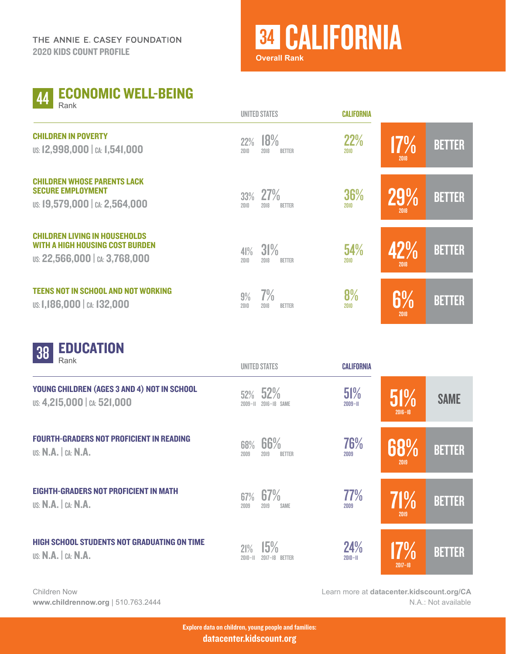## <sup>34</sup> CALIFORNIA

CALIFORNIA

**Overall Rank**

|  | Rank | <b>44 ECONOMIC WELL-BEING</b> |
|--|------|-------------------------------|
|--|------|-------------------------------|

|                                                                                                                  | <b>UNILL</b> UMLU           |                      | <b>UALII UIUVIA</b> |             |               |
|------------------------------------------------------------------------------------------------------------------|-----------------------------|----------------------|---------------------|-------------|---------------|
| <b>CHILDREN IN POVERTY</b><br>US: 12,998,000   CA: 1,541,000                                                     | 18%<br>22%<br>2018<br>2010  | <b>BETTER</b>        | 22%<br>2010         | 17%<br>2018 | <b>BETTER</b> |
| <b>CHILDREN WHOSE PARENTS LACK</b><br><b>SECURE EMPLOYMENT</b><br>US: 19,579,000   CA: 2,564,000                 | 33%<br>2010<br>2018         | 27%<br><b>BETTER</b> | 36%<br>2010         | 29%<br>2018 | <b>BETTER</b> |
| <b>CHILDREN LIVING IN HOUSEHOLDS</b><br><b>WITH A HIGH HOUSING COST BURDEN</b><br>US: 22,566,000   CA: 3,768,000 | 31%<br>41%<br>2010<br>2018  | <b>BETTER</b>        | 54%<br>2010         | 42%<br>2018 | <b>BETTER</b> |
| <b>TEENS NOT IN SCHOOL AND NOT WORKING</b><br>US: 1,186,000   CA: 132,000                                        | $7\%$<br>9%<br>2010<br>2018 | <b>BETTER</b>        | 8%<br>2010          | 6%<br>2018  | <b>BETTER</b> |

UNITED STATES



| Rank                                                                         |                    | <b>UNITED STATES</b>         | <b>CALIFORNIA</b>         |                    |               |
|------------------------------------------------------------------------------|--------------------|------------------------------|---------------------------|--------------------|---------------|
| YOUNG CHILDREN (AGES 3 AND 4) NOT IN SCHOOL<br>US: 4,215,000   CA: 521,000   | 52%<br>$2009 - H$  | 52%<br>2016-18 SAME          | 51%<br>$2009 - H$         | 51%<br>$2016 - 18$ | <b>SAME</b>   |
| <b>FOURTH-GRADERS NOT PROFICIENT IN READING</b><br>US: $N.A.$ $c_A: N.A.$    | 68%<br>2009        | 66%<br>2019<br><b>BETTER</b> | 76%<br>2009               | 68%<br>2019        | <b>BETTER</b> |
| <b>EIGHTH-GRADERS NOT PROFICIENT IN MATH</b><br>US: $N.A.$ $C.A. N.A.$       | 67%<br>2009        | 67%<br>2019<br><b>SAME</b>   | 77%<br>2009               | 71%<br>2019        | <b>BETTER</b> |
| <b>HIGH SCHOOL STUDENTS NOT GRADUATING ON TIME</b><br>US: $N.A.$ $C.A. N.A.$ | 21%<br>$2010 - 11$ | 15%<br>2017-18 BETTER        | <b>24%</b><br>$2010 - 11$ | 17%<br>$2017 - 18$ | <b>BETTER</b> |

Children Now **[www.childrennow.org](http://www.childrennow.org)** | 510.763.2444 Learn more at **[datacenter.kidscount.org/CA](https://datacenter.kidscount.org/data#CA)** N.A.: Not available